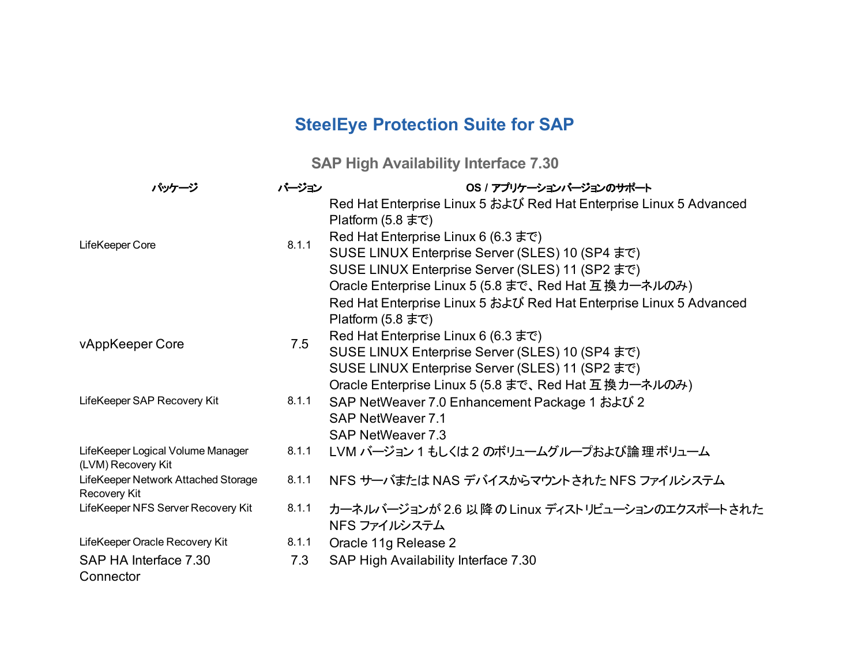## **SteelEye Protection Suite for SAP**

**SAP High Availability Interface 7.30**

| パッケージ                                                             | バージョン                 | OS / アプリケーションバージョンのサポート                                                                 |
|-------------------------------------------------------------------|-----------------------|-----------------------------------------------------------------------------------------|
|                                                                   |                       | Red Hat Enterprise Linux 5 および Red Hat Enterprise Linux 5 Advanced<br>Platform (5.8 まで) |
| LifeKeeper Core<br>vAppKeeper Core<br>LifeKeeper SAP Recovery Kit | 8.1.1<br>7.5<br>8.1.1 | Red Hat Enterprise Linux 6 (6.3 まで)                                                     |
|                                                                   |                       | SUSE LINUX Enterprise Server (SLES) 10 (SP4 まで)                                         |
|                                                                   |                       | SUSE LINUX Enterprise Server (SLES) 11 (SP2 まで)                                         |
|                                                                   |                       | Oracle Enterprise Linux 5 (5.8 まで、Red Hat 互換カーネルのみ)                                     |
|                                                                   |                       | Red Hat Enterprise Linux 5 および Red Hat Enterprise Linux 5 Advanced<br>Platform (5.8 まで) |
|                                                                   |                       | Red Hat Enterprise Linux 6 (6.3 $\pm \infty$ )                                          |
|                                                                   |                       | SUSE LINUX Enterprise Server (SLES) 10 (SP4 まで)                                         |
|                                                                   |                       | SUSE LINUX Enterprise Server (SLES) 11 (SP2 まで)                                         |
|                                                                   |                       | Oracle Enterprise Linux 5 (5.8 まで、Red Hat 互換カーネルのみ)                                     |
|                                                                   |                       | SAP NetWeaver 7.0 Enhancement Package 1 および 2                                           |
|                                                                   |                       | SAP NetWeaver 7.1                                                                       |
|                                                                   |                       | SAP NetWeaver 7.3                                                                       |
| LifeKeeper Logical Volume Manager<br>(LVM) Recovery Kit           | 8.1.1                 | LVM バージョン 1 もしくは 2 のボリュームグループおよび論理ボリューム                                                 |
| LifeKeeper Network Attached Storage<br>Recovery Kit               | 8.1.1                 | NFS サーバまたは NAS デバイスからマウントされた NFS ファイルシステム                                               |
| LifeKeeper NFS Server Recovery Kit                                | 8.1.1                 | カーネルバージョンが 2.6 以降の Linux ディストリビューションのエクスポートされた<br>NFS ファイルシステム                          |
| LifeKeeper Oracle Recovery Kit                                    | 8.1.1                 | Oracle 11g Release 2                                                                    |
| SAP HA Interface 7.30                                             | 7.3                   | SAP High Availability Interface 7.30                                                    |
| Connector                                                         |                       |                                                                                         |